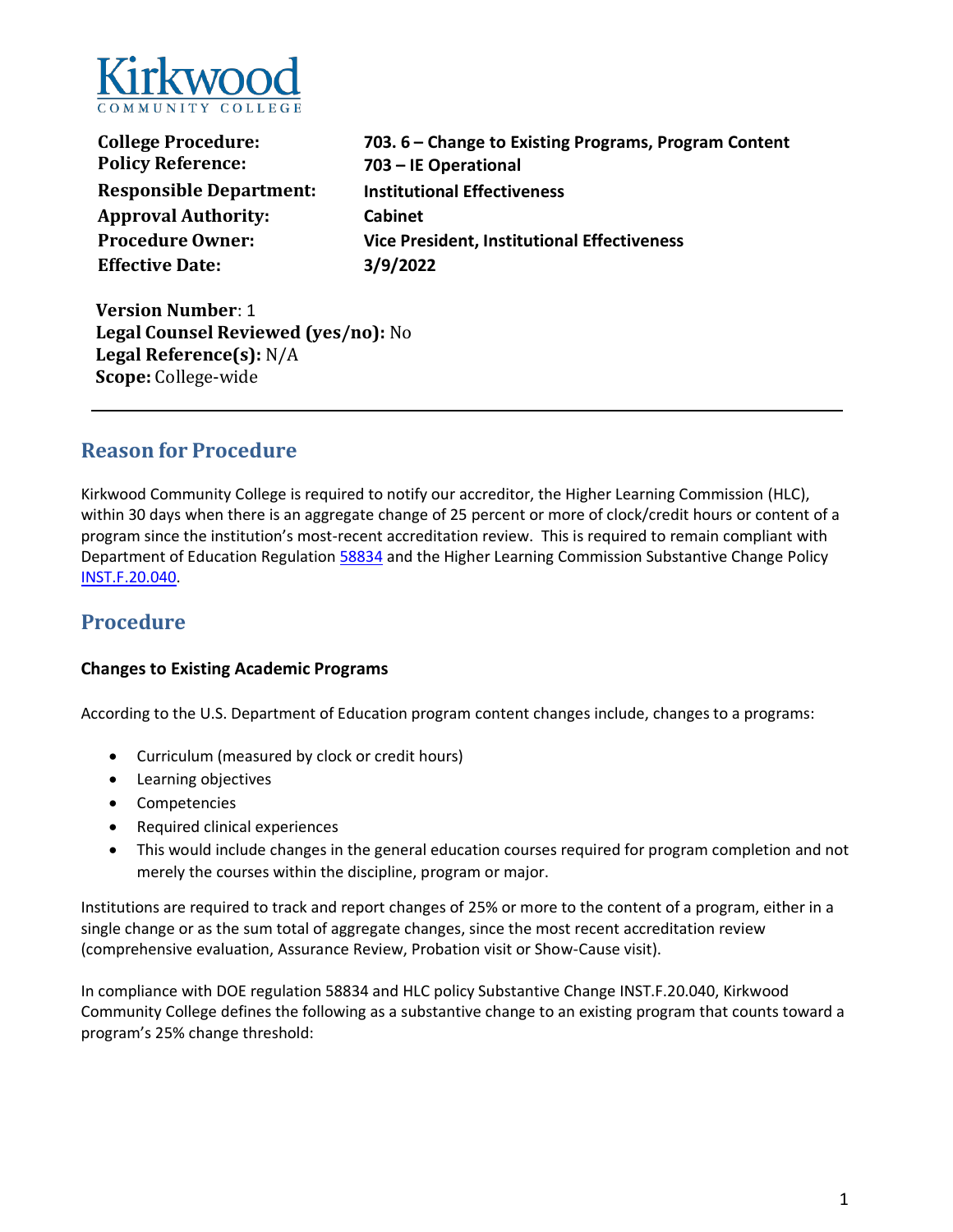

**College Procedure: 703. 6 – Change to Existing Programs, Program Content Policy Reference: 703 – IE Operational Responsible Department: Institutional Effectiveness Approval Authority: Cabinet Procedure Owner: Vice President, Institutional Effectiveness Effective Date: 3/9/2022**

**Version Number**: 1 **Legal Counsel Reviewed (yes/no):** No **Legal Reference(s):** N/A **Scope:** College-wide

## **Reason for Procedure**

Kirkwood Community College is required to notify our accreditor, the Higher Learning Commission (HLC), within 30 days when there is an aggregate change of 25 percent or more of clock/credit hours or content of a program since the institution's most-recent accreditation review. This is required to remain compliant with Department of Education Regulation [58834](https://www.govinfo.gov/content/pkg/FR-2019-11-01/pdf/2019-23129.pdf) and the Higher Learning Commission Substantive Change Policy [INST.F.20.040.](https://www.hlcommission.org/Policies/substantive-change.html?highlight=WyJpbnN0IiwiZi4yMC4wNDAiLCJpbnN0IGYuMjAuMDQwIl0=)

### **Procedure**

#### **Changes to Existing Academic Programs**

According to the U.S. Department of Education program content changes include, changes to a programs:

- Curriculum (measured by clock or credit hours)
- Learning objectives
- Competencies
- Required clinical experiences
- This would include changes in the general education courses required for program completion and not merely the courses within the discipline, program or major.

Institutions are required to track and report changes of 25% or more to the content of a program, either in a single change or as the sum total of aggregate changes, since the most recent accreditation review (comprehensive evaluation, Assurance Review, Probation visit or Show-Cause visit).

In compliance with DOE regulation 58834 and HLC policy Substantive Change INST.F.20.040, Kirkwood Community College defines the following as a substantive change to an existing program that counts toward a program's 25% change threshold: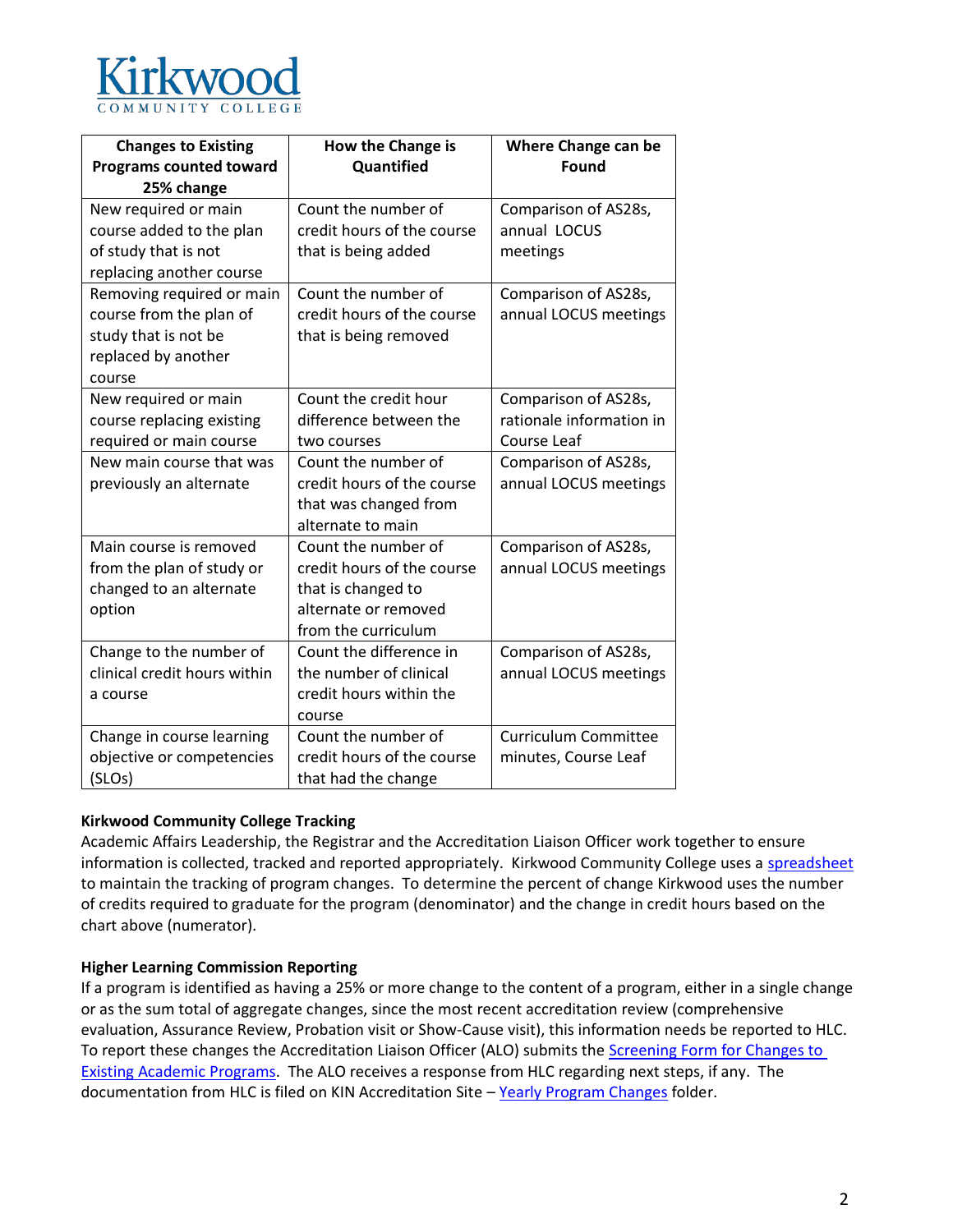

| <b>Changes to Existing</b><br><b>Programs counted toward</b><br>25% change                                    | How the Change is<br>Quantified                                                                                        | <b>Where Change can be</b><br>Found                             |
|---------------------------------------------------------------------------------------------------------------|------------------------------------------------------------------------------------------------------------------------|-----------------------------------------------------------------|
| New required or main<br>course added to the plan<br>of study that is not<br>replacing another course          | Count the number of<br>credit hours of the course<br>that is being added                                               | Comparison of AS28s,<br>annual LOCUS<br>meetings                |
| Removing required or main<br>course from the plan of<br>study that is not be<br>replaced by another<br>course | Count the number of<br>credit hours of the course<br>that is being removed                                             | Comparison of AS28s,<br>annual LOCUS meetings                   |
| New required or main<br>course replacing existing<br>required or main course                                  | Count the credit hour<br>difference between the<br>two courses                                                         | Comparison of AS28s,<br>rationale information in<br>Course Leaf |
| New main course that was<br>previously an alternate                                                           | Count the number of<br>credit hours of the course<br>that was changed from<br>alternate to main                        | Comparison of AS28s,<br>annual LOCUS meetings                   |
| Main course is removed<br>from the plan of study or<br>changed to an alternate<br>option                      | Count the number of<br>credit hours of the course<br>that is changed to<br>alternate or removed<br>from the curriculum | Comparison of AS28s,<br>annual LOCUS meetings                   |
| Change to the number of<br>clinical credit hours within<br>a course                                           | Count the difference in<br>the number of clinical<br>credit hours within the<br>course                                 | Comparison of AS28s,<br>annual LOCUS meetings                   |
| Change in course learning<br>objective or competencies<br>(SLOs)                                              | Count the number of<br>credit hours of the course<br>that had the change                                               | <b>Curriculum Committee</b><br>minutes, Course Leaf             |

#### **Kirkwood Community College Tracking**

Academic Affairs Leadership, the Registrar and the Accreditation Liaison Officer work together to ensure information is collected, tracked and reported appropriately. Kirkwood Community College uses a [spreadsheet](https://kin.kirkwood.edu/kcc/accred/_layouts/xlviewer.aspx?id=/kcc/accred/Higher%20Learning%20Commission/Program%20Accreditation/Yearly%20Program%20Change%20Reports/2019%20-%202024%20%20Program%20Changes.xlsm&Source=https%3A%2F%2Fkin%2Ekirkwood%2Eedu%2Fkcc%2Faccred%2FHigher%2520Learning%2520Commission%2FForms%2FAllItems%2Easpx%3FRootFolder%3D%252Fkcc%252Faccred%252FHigher%2520Learning%2520Commission%252FProgram%2520Accreditation%252FYearly%2520Program%2520Change%2520Reports%26FolderCTID%3D0x012000BAF142088B219147B3CE5283A63BAC5B%26View%3D%7B6972CFCF%2D3CCC%2D4319%2DAAB3%2D92B553129901%7D&DefaultItemOpen=1&DefaultItemOpen=1)  to maintain the tracking of program changes. To determine the percent of change Kirkwood uses the number of credits required to graduate for the program (denominator) and the change in credit hours based on the chart above (numerator).

#### **Higher Learning Commission Reporting**

If a program is identified as having a 25% or more change to the content of a program, either in a single change or as the sum total of aggregate changes, since the most recent accreditation review (comprehensive evaluation, Assurance Review, Probation visit or Show-Cause visit), this information needs be reported to HLC. To report these changes the Accreditation Liaison Officer (ALO) submits the [Screening Form for Changes to](https://www.hlcommission.org/Accreditation/screening-form-for-changes-to-existing-academic-programs.html)  [Existing Academic Programs.](https://www.hlcommission.org/Accreditation/screening-form-for-changes-to-existing-academic-programs.html) The ALO receives a response from HLC regarding next steps, if any. The documentation from HLC is filed on KIN Accreditation Site - [Yearly Program Changes](https://kin.kirkwood.edu/kcc/accred/Higher%20Learning%20Commission/Forms/AllItems.aspx?RootFolder=%2Fkcc%2Faccred%2FHigher%20Learning%20Commission%2FProgram%20Accreditation%2FYearly%20Program%20Change%20Reports&FolderCTID=0x012000BAF142088B219147B3CE5283A63BAC5B&View=%7b6972CFCF-3CCC-4319-AAB3-92B553129901%7d) folder.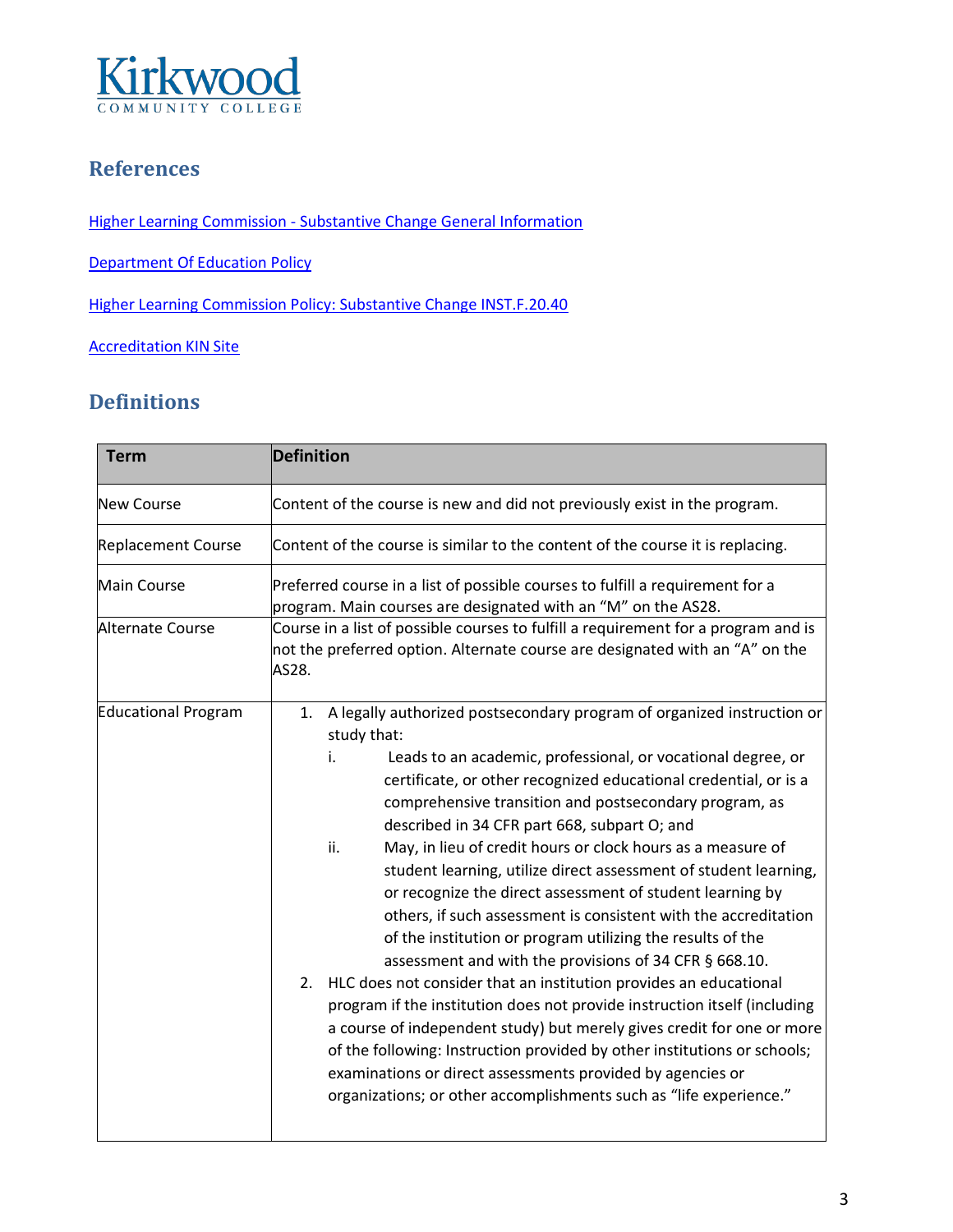

## **References**

Higher Learning Commission - [Substantive Change General Information](https://www.hlcommission.org/Accreditation/substantive-change.html) 

[Department Of Education Policy](https://www.govinfo.gov/content/pkg/FR-2019-11-01/pdf/2019-23129.pdf) 

[Higher Learning Commission Policy: Substantive Change INST.F.20.40](https://www.hlcommission.org/Policies/substantive-change.html) 

**Accreditation KIN Site** 

## **Definitions**

| <b>Term</b>                | <b>Definition</b>                                                                                                                                                                                                                                                                                                                                                                                                                                                                                                                                                                                                                                                                                                                                                                                                                                                                                                                                                                                                                                                                                                                                                                                   |  |  |  |
|----------------------------|-----------------------------------------------------------------------------------------------------------------------------------------------------------------------------------------------------------------------------------------------------------------------------------------------------------------------------------------------------------------------------------------------------------------------------------------------------------------------------------------------------------------------------------------------------------------------------------------------------------------------------------------------------------------------------------------------------------------------------------------------------------------------------------------------------------------------------------------------------------------------------------------------------------------------------------------------------------------------------------------------------------------------------------------------------------------------------------------------------------------------------------------------------------------------------------------------------|--|--|--|
| <b>New Course</b>          | Content of the course is new and did not previously exist in the program.                                                                                                                                                                                                                                                                                                                                                                                                                                                                                                                                                                                                                                                                                                                                                                                                                                                                                                                                                                                                                                                                                                                           |  |  |  |
| <b>Replacement Course</b>  | Content of the course is similar to the content of the course it is replacing.                                                                                                                                                                                                                                                                                                                                                                                                                                                                                                                                                                                                                                                                                                                                                                                                                                                                                                                                                                                                                                                                                                                      |  |  |  |
| <b>Main Course</b>         | Preferred course in a list of possible courses to fulfill a requirement for a<br>program. Main courses are designated with an "M" on the AS28.                                                                                                                                                                                                                                                                                                                                                                                                                                                                                                                                                                                                                                                                                                                                                                                                                                                                                                                                                                                                                                                      |  |  |  |
| <b>Alternate Course</b>    | Course in a list of possible courses to fulfill a requirement for a program and is<br>not the preferred option. Alternate course are designated with an "A" on the<br>AS28.                                                                                                                                                                                                                                                                                                                                                                                                                                                                                                                                                                                                                                                                                                                                                                                                                                                                                                                                                                                                                         |  |  |  |
| <b>Educational Program</b> | A legally authorized postsecondary program of organized instruction or<br>1.<br>study that:<br>i.<br>Leads to an academic, professional, or vocational degree, or<br>certificate, or other recognized educational credential, or is a<br>comprehensive transition and postsecondary program, as<br>described in 34 CFR part 668, subpart O; and<br>May, in lieu of credit hours or clock hours as a measure of<br>ii.<br>student learning, utilize direct assessment of student learning,<br>or recognize the direct assessment of student learning by<br>others, if such assessment is consistent with the accreditation<br>of the institution or program utilizing the results of the<br>assessment and with the provisions of 34 CFR § 668.10.<br>HLC does not consider that an institution provides an educational<br>2.<br>program if the institution does not provide instruction itself (including<br>a course of independent study) but merely gives credit for one or more<br>of the following: Instruction provided by other institutions or schools;<br>examinations or direct assessments provided by agencies or<br>organizations; or other accomplishments such as "life experience." |  |  |  |